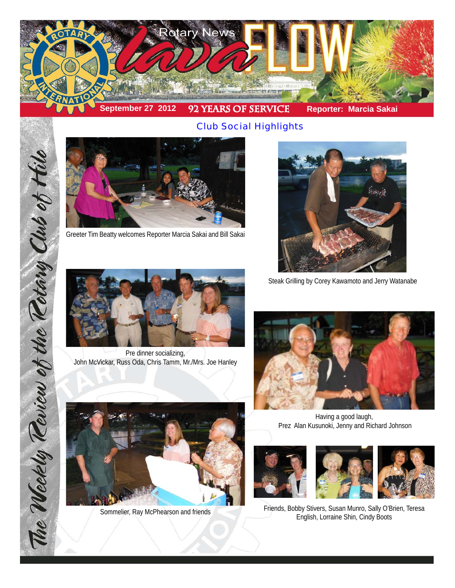

*Club Social Highlights*



Greeter Tim Beatty welcomes Reporter Marcia Sakai and Bill Sakai



Steak Grilling by Corey Kawamoto and Jerry Watanabe



Pre dinner socializing, John McVickar, Russ Oda, Chris Tamm, Mr./Mrs. Joe Hanley



Having a good laugh, Prez Alan Kusunoki, Jenny and Richard Johnson







Sommelier, Ray McPhearson and friends Friends, Bobby Stivers, Susan Munro, Sally O'Brien, Teresa English, Lorraine Shin, Cindy Boots